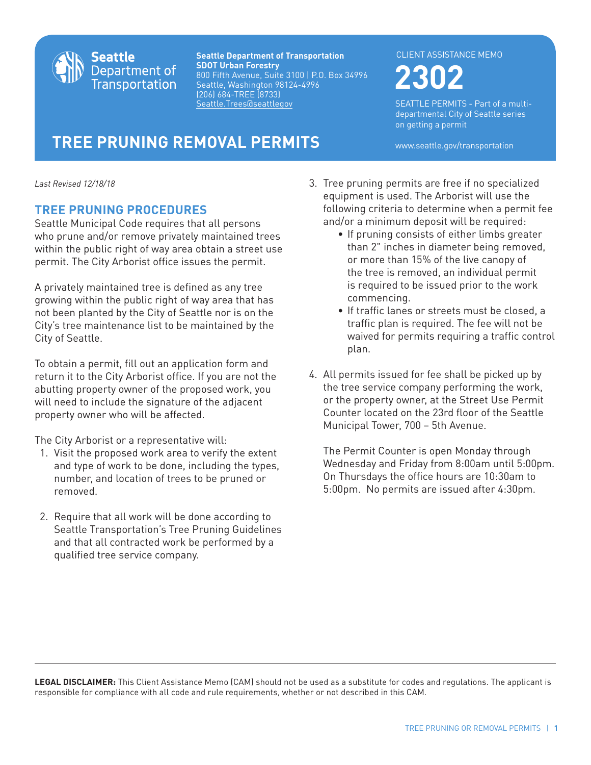

**Seattle Department of Transportation SDOT Urban Forestry** 800 Fifth Avenue, Suite 3100 | P.O. Box 34996 Seattle, Washington 98124-4996 (206) 684-TREE (8733) Seattle.Trees@seattlegov

## CLIENT ASSISTANCE MEMO

**2302**

SEATTLE PERMITS - Part of a multidepartmental City of Seattle series on getting a permit

**TREE PRUNING REMOVAL PERMITS** www.seattle.gov/transportation

*Last Revised 12/18/18*

## **TREE PRUNING PROCEDURES**

Seattle Municipal Code requires that all persons who prune and/or remove privately maintained trees within the public right of way area obtain a street use permit. The City Arborist office issues the permit.

A privately maintained tree is defined as any tree growing within the public right of way area that has not been planted by the City of Seattle nor is on the City's tree maintenance list to be maintained by the City of Seattle.

To obtain a permit, fill out an application form and return it to the City Arborist office. If you are not the abutting property owner of the proposed work, you will need to include the signature of the adjacent property owner who will be affected.

The City Arborist or a representative will:

- 1. Visit the proposed work area to verify the extent and type of work to be done, including the types, number, and location of trees to be pruned or removed.
- 2. Require that all work will be done according to Seattle Transportation's Tree Pruning Guidelines and that all contracted work be performed by a qualified tree service company.
- 3. Tree pruning permits are free if no specialized equipment is used. The Arborist will use the following criteria to determine when a permit fee and/or a minimum deposit will be required:
	- If pruning consists of either limbs greater than 2" inches in diameter being removed, or more than 15% of the live canopy of the tree is removed, an individual permit is required to be issued prior to the work commencing.
	- If traffic lanes or streets must be closed, a traffic plan is required. The fee will not be waived for permits requiring a traffic control plan.
- 4. All permits issued for fee shall be picked up by the tree service company performing the work, or the property owner, at the Street Use Permit Counter located on the 23rd floor of the Seattle Municipal Tower, 700 – 5th Avenue.

 The Permit Counter is open Monday through Wednesday and Friday from 8:00am until 5:00pm. On Thursdays the office hours are 10:30am to 5:00pm. No permits are issued after 4:30pm.

**LEGAL DISCLAIMER:** This Client Assistance Memo (CAM) should not be used as a substitute for codes and regulations. The applicant is responsible for compliance with all code and rule requirements, whether or not described in this CAM.